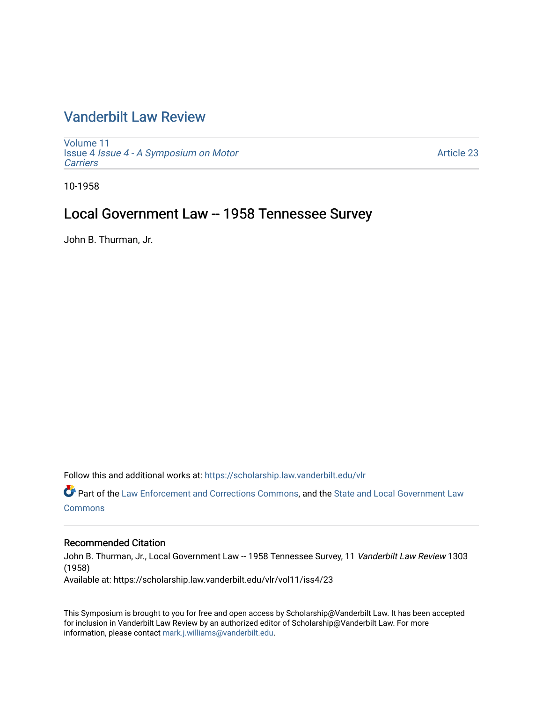# [Vanderbilt Law Review](https://scholarship.law.vanderbilt.edu/vlr)

[Volume 11](https://scholarship.law.vanderbilt.edu/vlr/vol11) Issue 4 [Issue 4 - A Symposium on Motor](https://scholarship.law.vanderbilt.edu/vlr/vol11/iss4) **[Carriers](https://scholarship.law.vanderbilt.edu/vlr/vol11/iss4)** 

[Article 23](https://scholarship.law.vanderbilt.edu/vlr/vol11/iss4/23) 

10-1958

# Local Government Law -- 1958 Tennessee Survey

John B. Thurman, Jr.

Follow this and additional works at: [https://scholarship.law.vanderbilt.edu/vlr](https://scholarship.law.vanderbilt.edu/vlr?utm_source=scholarship.law.vanderbilt.edu%2Fvlr%2Fvol11%2Fiss4%2F23&utm_medium=PDF&utm_campaign=PDFCoverPages)

Part of the [Law Enforcement and Corrections Commons,](http://network.bepress.com/hgg/discipline/854?utm_source=scholarship.law.vanderbilt.edu%2Fvlr%2Fvol11%2Fiss4%2F23&utm_medium=PDF&utm_campaign=PDFCoverPages) and the [State and Local Government Law](http://network.bepress.com/hgg/discipline/879?utm_source=scholarship.law.vanderbilt.edu%2Fvlr%2Fvol11%2Fiss4%2F23&utm_medium=PDF&utm_campaign=PDFCoverPages) **[Commons](http://network.bepress.com/hgg/discipline/879?utm_source=scholarship.law.vanderbilt.edu%2Fvlr%2Fvol11%2Fiss4%2F23&utm_medium=PDF&utm_campaign=PDFCoverPages)** 

# Recommended Citation

John B. Thurman, Jr., Local Government Law -- 1958 Tennessee Survey, 11 Vanderbilt Law Review 1303 (1958)

Available at: https://scholarship.law.vanderbilt.edu/vlr/vol11/iss4/23

This Symposium is brought to you for free and open access by Scholarship@Vanderbilt Law. It has been accepted for inclusion in Vanderbilt Law Review by an authorized editor of Scholarship@Vanderbilt Law. For more information, please contact [mark.j.williams@vanderbilt.edu](mailto:mark.j.williams@vanderbilt.edu).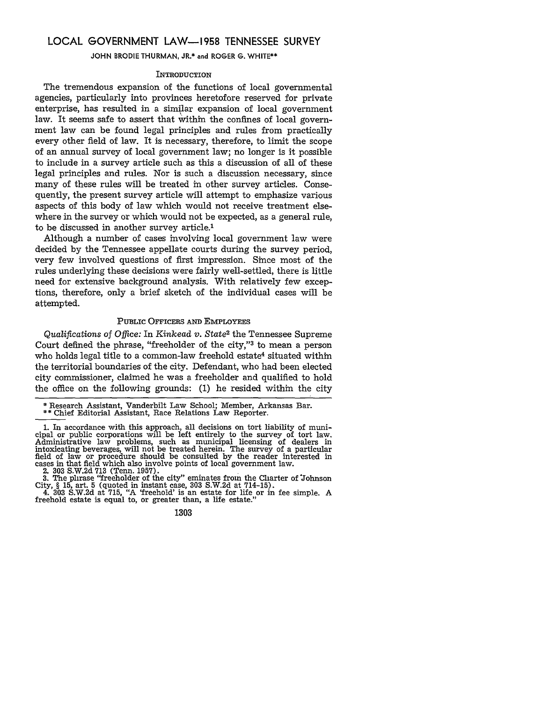# **LOCAL GOVERNMENT LAW-1958 TENNESSEE** SURVEY

**JOHN** BRODIE **THURMAN,** JR.\* and ROGER **G.** WHITE\*\*

#### **INTRODUCTION**

The tremendous expansion of the functions of local governmental agencies, particularly into provinces heretofore reserved for private enterprise, has resulted in a similar expansion of local government law. It seems safe to assert that within the confines of local government law can be found legal principles and rules from practically every other field of law. It is necessary, therefore, to limit the scope of an annual survey of local government law; no longer is it possible to include in a survey article such as this a discussion of all of these legal principles and rules. Nor is such a discussion necessary, since many of these rules will be treated in other survey articles. Consequently, the present survey article will attempt to emphasize various aspects of this body of law which would not receive treatment elsewhere in the survey or which would not be expected, as a general rule, to be discussed in another survey article.'

Although a number of cases involving local government law were decided by the Tennessee appellate courts during the survey period, very few involved questions of first impression. Since most of the rules underlying these decisions were fairly well-settled, there is little need for extensive background analysis. With relatively few exceptions, therefore, only a brief sketch of the individual cases will be attempted.

## PUBLIC OFFICERS **AND** EMPLOYEES

*Qualifications* of *Office:* In *Kinkead v. State2* the Tennessee Supreme Court defined the phrase, "freeholder of the city,"3 to mean a person who holds legal title to a common-law freehold estate<sup>4</sup> situated within the territorial boundaries of the city. Defendant, who had been elected city commissioner, claimed he was a freeholder and qualified to hold the office on the following grounds: (1) he resided within the city

2. 303 S.W.2d 713 (Tenn. 1957).

3. The plirase "freeholder of the city" eminates from the Cliarter of Johnson City, § 15, art. 5 (quoted in instant case, 303 S.W.2d at 714-15).<br>4. 303 S.W.2d at 715, "A 'freehold' is an estate for life or in fee simple.

<sup>\*</sup> Research Assistant, Vanderbilt Law School; Member, Arkansas Bar.

<sup>\*\*</sup> Chief Editorial Assistant, Race Relations Law Reporter.

<sup>1.</sup> In accordance with this approach, all decisions on tort liability of municipal or public corporations will be left entirely to the survey of tort law. Administrative law problems, such as municipal licensing of dealers in<br>intoxicating beverages, will not be treated herein. The survey of a particular<br>field of law or procedure should be consulted by the reader interested i

**<sup>1303</sup>**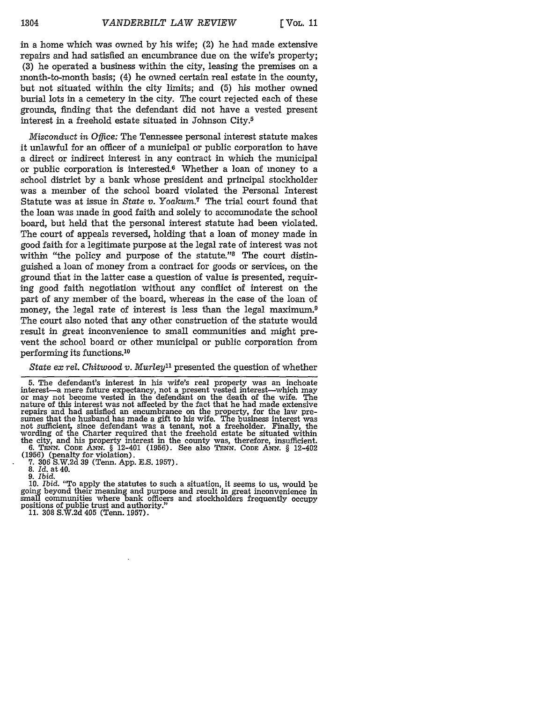in a home which was owned **by** his wife; (2) he had made extensive repairs and had satisfied an encumbrance due on the wife's property; **(3)** he operated a business within the city, leasing the premises on a month-to-month basis; (4) he owned certain real estate in the county, but not situated within the city limits; and **(5)** his mother owned burial lots in a cemetery in the city. The court rejected each of these grounds, finding that the defendant did not have a vested present interest in a freehold estate situated in Johnson City.5

*Misconduct in Office:* The Tennessee personal interest statute makes it unlawful for an officer of a municipal or public corporation to have a direct or indirect interest in any contract in which the municipal or public corporation is interested.<sup>6</sup> Whether a loan of money to a school district by a bank whose president and principal stockholder was a member of the school board violated the Personal Interest Statute was at issue in *State v. Yoakum.7* The trial court found that the loan was made in good faith and solely to accommodate the school board, but held that the personal interest statute had been violated. The court of appeals reversed, holding that a loan of money made in good faith for a legitimate purpose at the legal rate of interest was not within "the policy and purpose of the statute."<sup>8</sup> The court distinguished a loan of money from a contract for goods or services, on the ground that in the latter case a question of value is presented, requiring good faith negotiation without any conflict of interest on the part of any member of the board, whereas in the case of the loan of money, the legal rate of interest is less than the legal maximum.<sup>9</sup> The court also noted that any other construction of the statute would result in great inconvenience to small communities and might prevent the school board or other municipal or public corporation from performing its functions. <sup>10</sup>

*State ex rel. Chitwood v. Murley*<sup>11</sup> presented the question of whether

**9.** *Ibid.*

10. *Ibid.* "To apply the statutes to such a situation, it seems to us, would be going beyond their meaning and purpose and result in great inconvenience in small communities where bank officers and stockholders frequently occupy positions of public trust and authority." 11. 308 S.W.2d 405 (Tenn. 1957).

<sup>5.</sup> The defendant's interest in his wife's real property was an inchoate interest-a mere future expectancy, not a present vested interest-which may or may not become vested in the defendant on the death of the wife. The nature of this interest was not affected by the fact that he had made extensive repairs and had satisfied an encumbrance on the property, for the law presumes that the husband has made a gift to his wife. The business interest was not sufficient, since defendant was a tenant, not a freeholder. Finally, the wording of the Charter required that the freehold estate be situated within the city, and his property interest in the county was, therefore, insufficient. **6. TENN. CODE ANN.** § 12-401 **(1956).** See also *TENN.* **CODE** *ANN.* § 12-402 **(1956)** (penalty for violation). **7. 306 S.W.2d 39** (Tenn. **App. E.S. 1957). 8.** *Id.* at 40.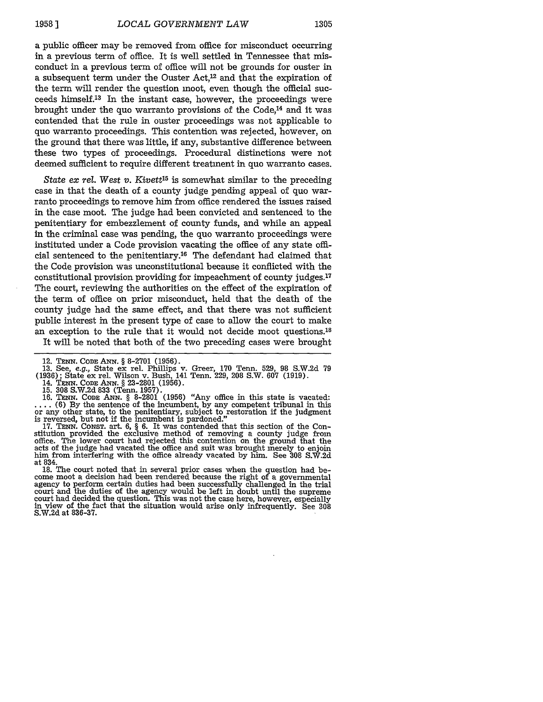a public officer may be removed from office for misconduct occurring in a previous term of office. It is well settled in Tennessee that misconduct in a previous term of office will not be grounds for ouster in a subsequent term under the Ouster  $Act<sub>1</sub><sup>12</sup>$  and that the expiration of the term will render the question moot, even though the official succeeds himself.13 In the instant case, however, the proceedings were brought under the quo warranto provisions of the Code,14 and it was contended that the rule in ouster proceedings was not applicable to quo warranto proceedings. This contention was rejected, however, on the ground that there was little, if any, substantive difference between these two types of proceedings. Procedural distinctions were not deemed sufficient to require different treatment in quo warranto cases.

State ex *rel. West v. Kivett'5* is somewhat similar to the preceding case in that the death of a county judge pending appeal of quo warranto proceedings to remove him from office rendered the issues raised in the case moot. The judge had been convicted and sentenced to the penitentiary for embezzlement of county funds, and while an appeal in the criminal case was pending, the quo warranto proceedings were instituted under a Code provision vacating the office of any state official sentenced to the penitentiary.<sup>16</sup> The defendant had claimed that the Code provision was unconstitutional because it conflicted with the constitutional provision providing for impeachment of county judges.'7 The court, reviewing the authorities on the effect of the expiration of the term of office on prior misconduct, held that the death of the county judge had the same effect, and that there was not sufficient public interest in the present type of case to allow the court to make an exception to the rule that it would not decide moot questions.<sup>18</sup> It will be noted that both of the two preceding cases were brought

14. **TENN. CODE** ANN. **§** 23-2801 (1956).

15. **308** S.W.2d 833 (Tenn. 1957). 16. TENN. CODE ANN.  $\S$  8-2801 (1956) "Any office in this state is vacated:<br>... (6) By the sentence of the incumbent, by any competent tribunal in this or any other state, to the penitentiary, subject to restoration if th is reversed, but not if the incumbent is pardoned." **17. TENN.** CONST. art. 6, § 6. It was contended that this section of the Con-

stitution provided the exclusive method of removing a county judge from office. The lower court had rejected this contention on the ground that the acts of the judge had vacated the office and suit was brought merely to enjoin him from interfering with the office already vacated by him. See 308 S.W.2d him from interfering with the office already vacated by him. See 308 S.W.2d at 834.

18. The court noted that in several prior cases when the question had be-<br>come moot a decision had been rendered because the right of a governmental agency to perform certain duties had been successfully challenged in the trial court and the duties of the agency would be left in doubt until the supreme court had decided the question. This was not the case here, however, especially in view of the fact that the situation would arise only infrequently. See **308** S.W.2d at 836-37.

<sup>12.</sup> **TENN. CODE ANN. § 8-2701 (1956).** 13. See, e.g., State ex rel. Phillips v. Greer, **170** Tenn. 529, 98 S.W.2d 79 (1936); State ex rel. Wilson v. Bush, 141 Tenn. 229, 208 S.W. **607** (1919).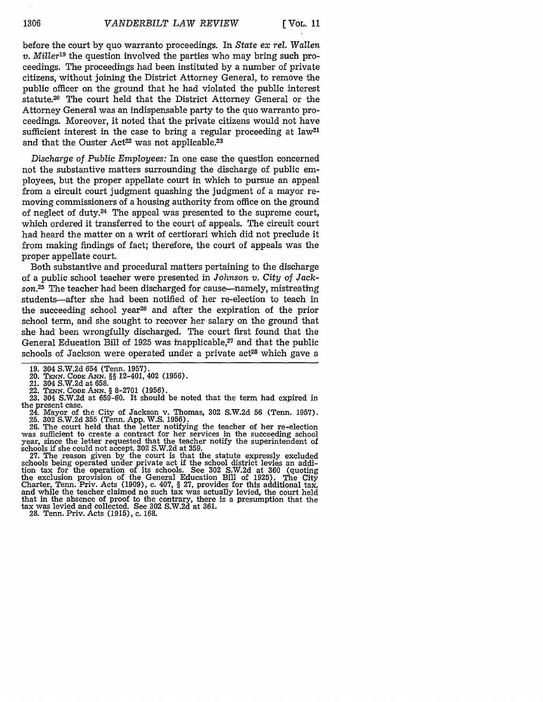before the court by quo warranto proceedings. In *State ex rel. Wallen v. Miller19* the question involved the parties who may bring such proceedings. The proceedings had been instituted by a number of private citizens, without joining the District Attorney General, to remove the public officer on the ground that he had violated the public interest statute.20 The court held that the District Attorney General or the Attorney General was an indispensable party to the quo warranto proceedings. Moreover, it noted that the private citizens would not have sufficient interest in the case to bring a regular proceeding at law<sup>21</sup> and that the Ouster Act<sup>22</sup> was not applicable.<sup>23</sup>

*Discharge of Public Employees:* In one case the question concerned not the substantive matters surrounding the discharge of public employees, but the proper appellate court in which to pursue an appeal from a circuit court judgment quashing the judgment of a mayor removing commissioners of a housing authority from office on the ground of neglect of duty.<sup>24</sup> The appeal was presented to the supreme court, which ordered it transferred to the court of appeals. The circuit court had heard the matter on a writ of certiorari which did not preclude it from making findings of fact; therefore, the court of appeals was the proper appellate court.

Both substantive and procedural matters pertaining to the discharge of a public school teacher were presented in *Johnson v. City of Jack*son.<sup>25</sup> The teacher had been discharged for cause—namely, mistreating students-after she had been notified of her re-election to teach in the succeeding school year<sup>26</sup> and after the expiration of the prior school term, and she sought to recover her salary on the ground that she had been wrongfully discharged. The court first found that the General Education Bill of 1925 was inapplicable,<sup>27</sup> and that the public schools of Jackson were operated under a private act<sup>28</sup> which gave a

25. **302** S.W.2d **355** (Tenn. App. W.S. 1956). 26. The court held that the letter notifying the teacher of her re-election was sufficient to create a contract for her services in the succeeding school year, since the letter requested that the teacher notify the superintendent of schools if she could not accept. **302** S.W.2d at 359.

27. The reason given by the court is that the statute expressly excluded schools being operated under private act if the school district levies an addition tax for the operation of its schools. See **302** S.W.2d at 360 (quoting the exclusion provision of the General Education Bill of 1925). The City Charter, Tenn. Priv. Acts (1909), c. 407, § 27, provides for this additional tax, and while the teacher claimed no such tax was actually levied, the court held that in the absence of proof to the contrary, there is a presumption that the tax was levied and collected. See **302** S.W.2d at 361. 28. Tenn. Priv. Acts (1915), c. 168.

<sup>19. 304</sup> S.W.2d 654 (Tenn. 1957).

<sup>20.</sup> **TENN. CODE ANN.** §§ 12-401, 402 **(1956).**

<sup>21. 304</sup> S.W.2d at 658.<br>22. TENN. CODE ANN. § 8-2701 (1956).

<sup>23. 304</sup> S.W.2d at 659-60. It should be noted that the term had expired in the present case.

<sup>24.</sup> Mayor of the City of Jackson v. Thomas, **302** S.W.2d 56 (Tenn. 1957).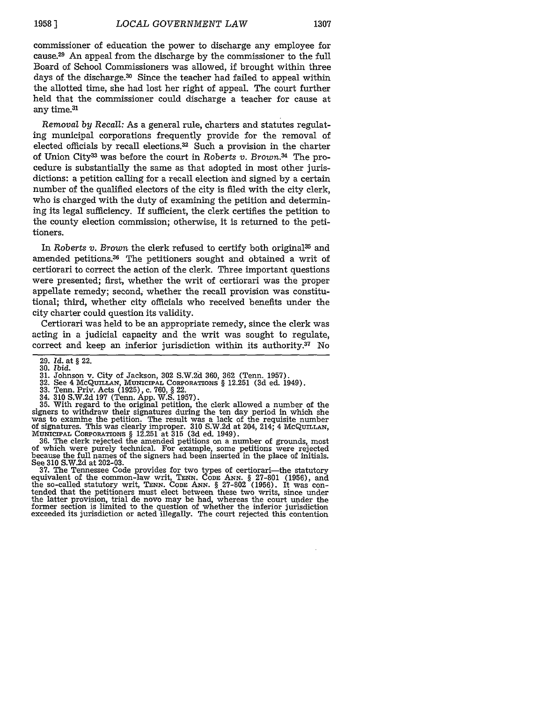commissioner of education the power to discharge any employee for cause.29 An appeal from the discharge by the commissioner to the full Board of School Commissioners was allowed, if brought within three days of the discharge.30 Since the teacher had failed to appeal within the allotted time, she had lost her right of appeal. The court further held that the commissioner could discharge a teacher for cause at any time.<sup>31</sup>

*Removal* by *Recall:* As a general rule, charters and statutes regulating municipal corporations frequently provide for the removal of elected officials by recall elections.<sup>32</sup> Such a provision in the charter of Union City3 3 was before the court in *Roberts v. Brown.34* The procedure is substantially the same as that adopted in most other jurisdictions: a petition calling for a recall election and signed by a certain number of the qualified electors of the city is filed with the city clerk, who is charged with the duty of examining the petition and determining its legal sufficiency. If sufficient, the clerk certifies the petition to the county election commission; otherwise, it is returned to the petitioners.

In *Roberts v. Brown* the clerk refused to certify both original<sup>35</sup> and amended petitions.<sup>36</sup> The petitioners sought and obtained a writ of certiorari to correct the action of the clerk. Three important questions were presented; first, whether the writ of certiorari was the proper appellate remedy; second, whether the recall provision was constitutional; third, whether city officials who received benefits under the city charter could question its validity.

Certiorari was held to be an appropriate remedy, since the clerk was acting in a judicial capacity and the writ was sought to regulate, correct and keep an inferior jurisdiction within its authority.37 No

- 31. Johnson v. City of Jackson, 302 S.W.2d 360, 362 (Tenn. 1957).<br>32. See 4 McQuILLAN, MUNICIPAL CORPORATIONS § 12.251 (3d ed. 1949)<br>33. Tenn. Priv. Acts (1925), c. 760, § 22.
- 
- 

34. 310 S.W.2d 197 (Tenn. App. W.S. 1957).<br>35. With regard to the original petition, the clerk allowed a number of the signers to withdraw their signatures during the ten day period in which she was to examine the petition. The result was a lack of the requisite number of signatures. This was clearly improper. 310 S.W.2d at 204, 214; 4 **McQUILLAN,** MUNICIPAL CORPORATIONS § 12.251 at **315** (3d ed. 1949). 36. The clerk rejected the amended petitions on a number of grounds, most

of which were purely technical. For example, some petitions were rejected because the full names of the signers had been inserted in the place of initials. because the full names of the signers had been inserted in the place of initials. See 310 S.W.2d at 202-03.

37. The Tennessee Code provides for two types of certiorari-the statutory equivalent of the common-law writ, **TENN. CODE ANN.** § 27-801 (1956), and the so-called statutory writ, **TENN. CODE ANN.** § 27-802 (1956). It was contended that the petitioners must elect between these two writs, since under the latter provision, trial de novo may be had, whereas the court under the former section is limited to the question of whether the inferior jurisdiction exceeded its jurisdiction or acted illegally. The court rejected this contention

<sup>29.</sup> *Id.* at § 22. 30. *Ibid.*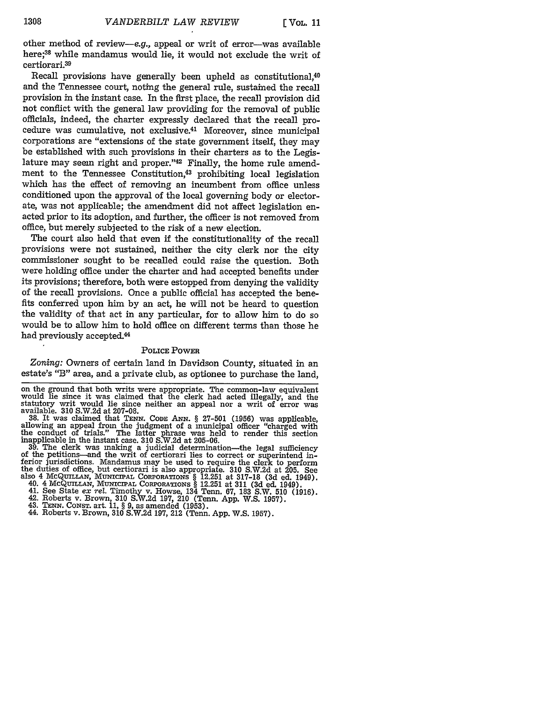other method of review-e.g., appeal or writ of error-was available here;38 while mandamus would lie, it would not exclude the writ of certiorari.39

Recall provisions have generally been upheld as constitutional.<sup>40</sup> and the Tennessee court, noting the general rule, sustained the recall provision in the instant case. In the first place, the recall provision did not conflict with the general law providing for the removal of public officials, indeed, the charter expressly declared that the recall procedure was cumulative, not exclusive.41 Moreover, since municipal corporations are "extensions of the state government itself, they may be established with such provisions in their charters as to the Legislature may seem right and proper."42 Finally, the home rule amendment to the Tennessee Constitution,<sup>43</sup> prohibiting local legislation which has the effect of removing an incumbent from office unless conditioned upon the approval of the local governing body or electorate, was not applicable; the amendment did not affect legislation enacted prior to its adoption, and further, the officer is not removed from office, but merely subjected to the risk of a new election.

The court also held that even if the constitutionality of the recall provisions were not sustained, neither the city clerk nor the city commissioner sought to be recalled could raise the question. Both were holding office under the charter and had accepted benefits under its provisions; therefore, both were estopped from denying the validity of the recall provisions. Once a public official has accepted the benefits conferred upon him by an act, he will not be heard to question the validity of that act in any particular, for to allow him to do so would be to allow him to hold office on different terms than those he had previously accepted.44

#### **POLICE POWER**

*Zoning:* Owners of certain land in Davidson County, situated in an estate's "B" area, and a private club, as optionee to purchase the land,

on the ground that both writs were appropriate. The common-law equivalent would lie since it was claimed that the clerk had acted illegally, and the statutory writ would lie since neither an appeal nor a writ of error was available. 310 S.W.2d at 207-08.<br>38. It was claimed that TENN. CODE ANN. § 27-501 (1956) was applicable.

**38.** It was claimed that TENNr. **CODE ANN.** § 27-501 (1956) was applicable, allowing an appeal from the judgment of a municipal officer "charged with the conduct of trials." The latter phrase was held to render this section inapplicable in the instant case. 310 S.W.2d at 205-06.

**39.** The clerk was making a judicial determination-the legal sufficiency of the petitions-and the writ of certiorari lies to correct or superintend in-Ferior jurisdictions. Mandamus may be used to require the clerk to perform<br>the duties of office, but certiorari is also appropriate. 310 S.W.2d at 205. See<br>also 4 McQUILLAN, MUNICIPAL CORPORATIONS § 12.251 at 317-18 (3d ed

40. 4 McQUILLAN, MUNICIPAL CORPORATIONS  $\S$  12.251 at 311 (3d ed. 1949).<br>41. See State ex rel. Timothy v. Howse, 134 Tenn. 67, 183 S.W. 510 (1916)<br>42. Roberts v. Brown, 310 S.W.2d 197, 210 (Tenn. App. W.S. 1957).<br>43. TENN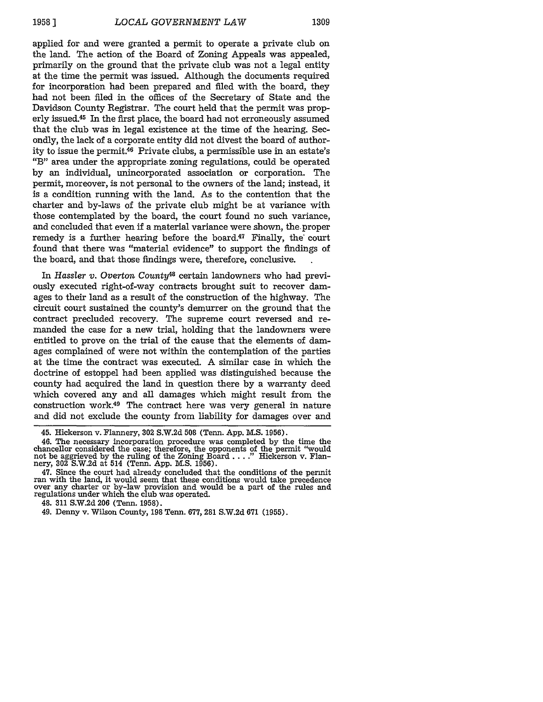applied for and were granted a permit to operate a private club on the land. The action of the Board of Zoning Appeals was appealed, primarily on the ground that the private club was not a legal entity at the time the permit was issued. Although the documents required for incorporation had been prepared and filed with the board, they had not been filed in the offices of the Secretary of State and the Davidson County Registrar. The court held that the permit was properly issued.45 In the first place, the board had not erroneously assumed that the club was in legal existence at the time of the hearing. Secondly, the lack of a corporate entity did not divest the board of authority to issue the permit.<sup>46</sup> Private clubs, a permissible use in an estate's "B" area under the appropriate zoning regulations, could be operated by an individual, unincorporated association or corporation. The permit, moreover, is not personal to the owners of the land; instead, it is a condition running with the land. As to the contention that the charter and by-laws of the private club might be at variance with those contemplated by the board, the court found no such variance, and concluded that even if a material variance were shown, the.proper remedy is a further hearing before the board.<sup>47</sup> Finally, the court found that there was "material evidence" to support the findings of the board, and that those findings were, therefore, conclusive.

In *Hassler v. Overton County48* certain landowners who had previously executed right-of-way contracts brought suit to recover damages to their land as a result of the construction of the highway. The circuit court sustained the county's demurrer on the ground that the contract precluded recovery. The supreme court reversed and remanded the case for a new trial, holding that the landowners were entitled to prove on the trial of the cause that the elements of damages complained of were not within the contemplation of the parties at the time the contract was executed. A similar case in which the doctrine of estoppel had been applied was distinguished because the county had acquired the land in question there by a warranty deed which covered any and all damages which might result from the construction work.49 The contract here was very general in nature and did not exclude the county from liability for damages over and

<sup>45.</sup> Hickerson v. Flannery, **302** S.W.2d **508** (Tenn. App. M.S. 1956).

<sup>46.</sup> The necessary incorporation procedure was completed by the time the chancellor considered the case; therefore, the opponents of the permit "Would not be aggrieved by the ruling of the Zoning Board ... " Hickerson v. Flan-nery, 302 S.W.2d at 514 (Tenn. App. M.S. 1956).

<sup>47.</sup> Since the court had already concluded that the conditions of the permit ran with the land, it would seem that these conditions would take precedence over any charter or by-law provision and would be a part of the rules and regulations under which the club was operated.

<sup>48.</sup> **311** S.W.2d 206 (Tenn. 1958).

<sup>49.</sup> Denny v. Wilson County, 198 Tenn. 677, 281 S.W.2d **671** (1955).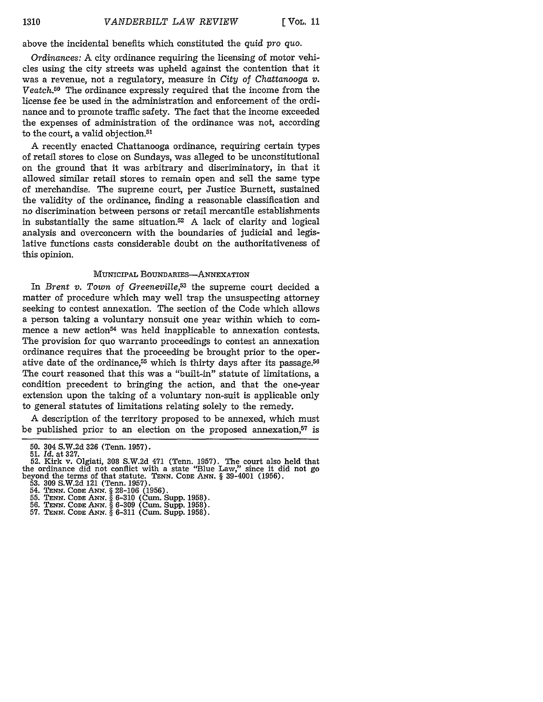above the incidental benefits which constituted the *quid pro quo.*

*Ordinances:* A city ordinance requiring the licensing of motor vehicles using the city streets was upheld against the contention that it was a revenue, not a regulatory, measure in *City* of *Chattanooga v. Veatch.50* The ordinance expressly required that the income from the license fee be used in the administration and enforcement of the ordinance and to promote traffic safety. The fact that the income exceeded the expenses of administration of the ordinance was not, according to the  $\operatorname*{court}_{\:\raisebox{1pt}{\text{\circle*{1.5}}}}$  a valid objection.<sup>5:</sup>

A recently enacted Chattanooga ordinance, requiring certain types of retail stores to close on Sundays, was alleged to be unconstitutional on the ground that it was arbitrary and discriminatory, in that it allowed similar retail stores to remain open and sell the same type of merchandise. The supreme court, per Justice Burnett, sustained the validity of the ordinance, finding a reasonable classification and no discrimination between persons or retail mercantile establishments in substantially the same situation.52 A lack of clarity and logical analysis and overconcern with the boundaries of judicial and legislative functions casts considerable doubt on the authoritativeness of this opinion.

## MUNICIPAL BOUNDARIES-ANNEXATION

In *Brent v. Town of Greeneville*,<sup>53</sup> the supreme court decided a matter of procedure which may well trap the unsuspecting attorney seeking to contest annexation. The section of the Code which allows a person taking a voluntary nonsuit one year within which to commence a new action<sup> $54$ </sup> was held inapplicable to annexation contests. The provision for quo warranto proceedings to contest an annexation ordinance requires that the proceeding be brought prior to the operative date of the ordinance,<sup>55</sup> which is thirty days after its passage.<sup>56</sup> The court reasoned that this was a "built-in" statute of limitations, a condition precedent to bringing the action, and that the one-year extension upon the taking of a voluntary non-suit is applicable only to general statutes of limitations relating solely to the remedy.

A description of the territory proposed to be annexed, which must be published prior to an election on the proposed annexation,<sup>57</sup> is

**<sup>50.</sup>** 304 S.W.2d 326 (Tenn. 1957). 51. *Id.* at 327.

**<sup>52.</sup>** Kirk v. Olgiati, 308 S.W.2d 471 (Tenn. 1957). The court also held that the ordinance did not conflict with a state "Blue Law," since it did not go beyond the terms of that statute. **TENN. CODE ANN.** *§* 39-4001 (1956).

<sup>53. 309</sup> S.W.2d 121 (Tenn. 1957). 54. **TENN.** *CODE ANN.* **§** 28-106 **(1956).** 55. *TENN.* **CODE ANN.** *§* 6-310 (Cum. Supp. 1958).

<sup>56.</sup> **TENN. CODE ANN.** § 6-309 (Cum. Supp. 1958). 57. **TENN. CODE ANN.** *§* **6-311** (Cum. Supp. 1958).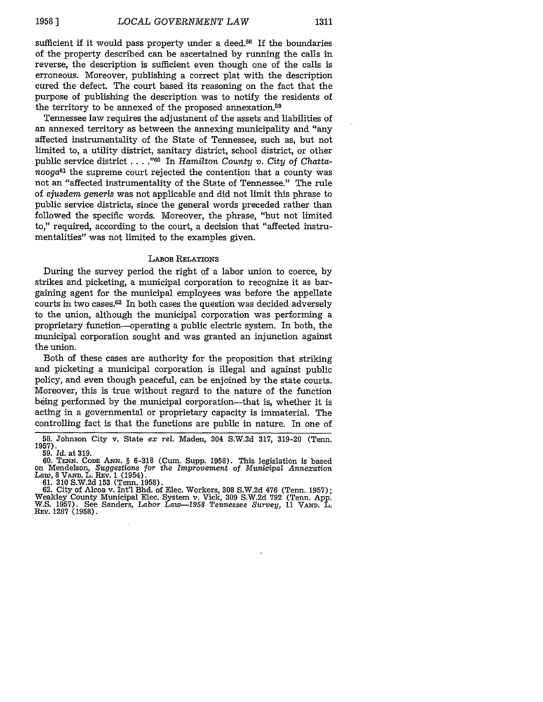sufficient if it would pass property under a deed.<sup>58</sup> If the boundaries of the property described can be ascertained by running the calls in reverse, the description is sufficient even though one of the calls is erroneous. Moreover, publishing a correct plat with the description cured the defect. The court based its reasoning on the fact that the purpose of publishing the description was to notify the residents of the territory to be annexed of the proposed annexation.59

Tennessee law requires the adjustment of the assets and liabilities of an annexed territory as between the annexing municipality and "any affected instrumentality of the State of Tennessee, such as, but not limited to, a utility district, sanitary district, school district, or other public service district . . . .<sup>"60</sup> In *Hamilton County v. City of Chatta* $n_{0}$  the supreme court rejected the contention that a county was not an "affected instrumentality of the State of Tennessee." The rule of *ejusdem generis* was not applicable and did not limit this phrase to public service districts, since the general words preceded rather than followed the specific words. Moreover, the phrase, "but not limited to," required, according to the court, a decision that "affected instrumentalities" was not limited to the examples given.

#### LABOR RELATIONS

During the survey period the right of a labor union to coerce, by strikes and picketing, a municipal corporation to recognize it as bargaining agent for the municipal employees was before the appellate courts in two cases. $62$  In both cases the question was decided adversely to the union, although the municipal corporation was performing a proprietary function-operating a public electric system. In both, the municipal corporation sought and was granted an injunction against the union.

Both of these cases are authority for the proposition that striking and picketing a municipal corporation is illegal and against public policy, and even though peaceful, can be enjoined by the state courts. Moreover, this is true without regard to the nature of the function being performed by the municipal corporation-that is, whether it is acting in a governmental or proprietary capacity is immaterial. The controlling fact is that the functions are public in nature. In one of

<sup>58.</sup> Johnson City v. State *ex rel.* Maden, 304 S.W.2d 317, 319-20 (Tenn. 1957). **59.** *Id.* at **319.**

<sup>60.</sup> **TENN. CODE** ANN. § 6-318 (Cum. Supp. 1958). This legislation is based on Mendelson, *Suggestions for the Improvement* of *Municipal Annexation Law,* 8 **VAND.** L. REV. 1 (1954).

<sup>61. 310</sup> S.W.2d 153 (Tenn. 1958).<br>62. City of Alcoa v. Int'l Bhd. of Elec. Workers, 308 S.W.2d 476 (Tenn. 1957);<br>62. City of Alcoa v. Int'l Bhd. of Elec. Workers, 308 S.W.2d 476 (Tenn. App.<br>62. City County Municipal Elec. S REV. 1287 (1958).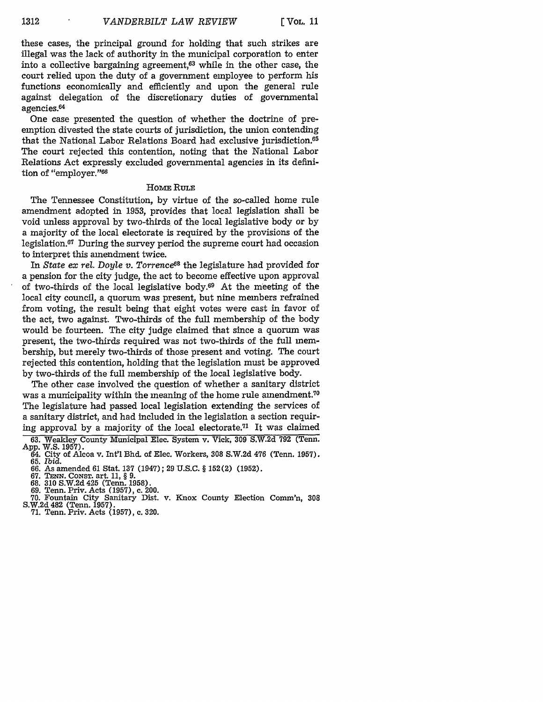these cases, the principal ground for holding that such strikes are illegal was the lack of authority in the municipal corporation to enter into a collective bargaining agreement, $63$  while in the other case, the court relied upon the duty of a government employee to perform his functions economically and efficiently and upon the general rule against delegation of the discretionary duties of governmental agencies.<sup>64</sup>

One case presented the question of whether the doctrine of preemption divested the state courts of jurisdiction, the union contending that the National Labor Relations Board had exclusive jurisdiction.65 The court rejected this contention, noting that the National Labor Relations Act expressly excluded governmental agencies in its definition of "employer."<sup>66</sup>

### HomE **RuLE**

The Tennessee Constitution, **by** virtue of the so-called home rule amendment adopted in **1953,** provides that local legislation shall be void unless approval **by** two-thirds of the local legislative body or **by** a majority of the local electorate is required **by** the provisions of the legislation.<sup>67</sup> During the survey period the supreme court had occasion to interpret this amendment twice.

In *State ex* rel. *Doyle v. Torrence68* the legislature had provided for a pension for the city judge, the act to become effective upon approval of two-thirds of the local legislative body.69 At the meeting of the local city council, a quorum was present, but nine members refrained from voting, the result being that eight votes were cast in favor of the act, two against. Two-thirds of the full membership of the body would be fourteen. The city judge claimed that since a quorum was present, the two-thirds required was not two-thirds of the full membership, but merely two-thirds of those present and voting. The court rejected this contention, holding that the legislation must be approved by two-thirds of the full membership of the local legislative body.

The other case involved the question of whether a sanitary district was a municipality within the meaning of the home rule amendment.<sup>70</sup> The legislature had passed local legislation extending the services of a sanitary district, and had included in the legislation a section requiring approval by a majority of the local electorate.<sup>71</sup> It was claimed

- **70.** Fountain City Sanitary Dist. v. Knox County Election Comm'n, **308** S.W.2d 482 (Tenn. 1957).
- 71. Tenn. Priv. Acts (1957), c. 320.

<sup>63.</sup> Weakley County Municipal Elec. System v. Vick, **309** S.W.2d 792 (Tenn. App. W.S. 1957). 64. City of Alcoa v. Int'l Bhd. of Elec. Workers, **308** S.W.2d 476 (Tenn. 1957).

<sup>65.</sup> *Ibid.*

<sup>66.</sup> As amended 61 Stat. **137** (1947); 29 U.S.C. § 152(2) (1952).

<sup>67.</sup> **TENN.** CONST. art. 11, § 9.

<sup>68. 310</sup> S.W.2d 425 (Tenn. 1958). 69. Tenn. Priv. Acts (1957), c. 200.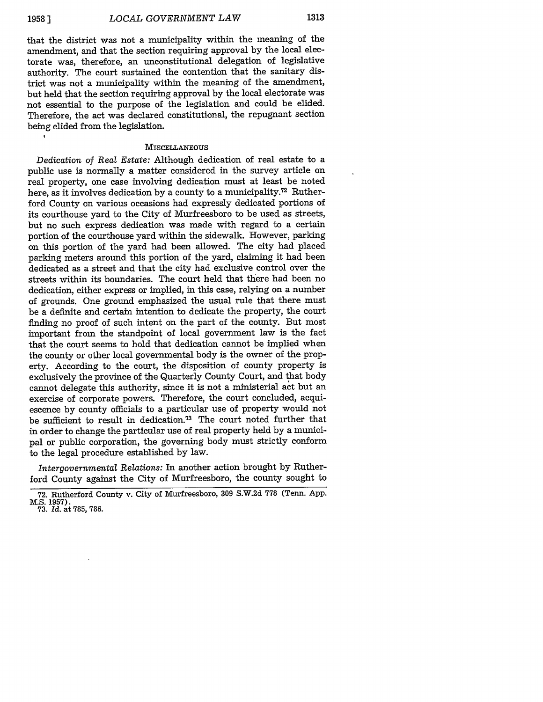$\ddot{\phantom{a}}$ 

that the district was not a municipality within the meaning of the amendment, and that the section requiring approval by the local electorate was, therefore, an unconstitutional delegation of legislative authority. The court sustained the contention that the sanitary district was not a municipality within the meaning of the amendment, but held that the section requiring approval by the local electorate was not essential to the purpose of the legislation and could be elided. Therefore, the act was declared constitutional, the repugnant section being elided from the legislation.

### **MISCELLANEOUS**

*Dedication of Real Estate:* Although dedication of real estate to a public use is normally a matter considered in the survey article on real property, one case involving dedication must at least be noted here, as it involves dedication by a county to a municipality.<sup>72</sup> Rutherford County on various occasions had expressly dedicated portions of its courthouse yard to the City of Murfreesboro to be used as streets, but no such express dedication was made with regard to a certain portion of the courthouse yard within the sidewalk. However, parking on this portion of the yard had been allowed. The city had placed parking meters around this portion of the yard, claiming it had been dedicated as a street and that the city had exclusive control over the streets within its boundaries. The court held that there had been no dedication, either express or implied, in this case, relying on a number of grounds. One ground emphasized the usual rule that there must be a definite and certain intention to dedicate the property, the court finding no proof of such intent on the part of the county. But most important from the standpoint of local government law is the fact that the court seems to hold that dedication cannot be implied when the county or other local governmental body is the owner of the property. According to the court, the disposition of county property is exclusively the province of the Quarterly County Court, and that body cannot delegate this authority, since it is not a ministerial act but an exercise of corporate powers. Therefore, the court concluded, acquiescence by county officials to a particular use of property would not be sufficient to result in dedication.73 The court noted further that in order to change the particular use of real property held by a municipal or public corporation, the governing body must strictly conform to the legal procedure established by law.

*Intergovernmental Relations:* In another action brought by Rutherford County against the City of Murfreesboro, the county sought to

<sup>72.</sup> Rutherford County v. City of Murfreesboro, **309** S.W.2d 778 (Tenn. App. M.S. **1957).** 73. *Id.* at 785, 786.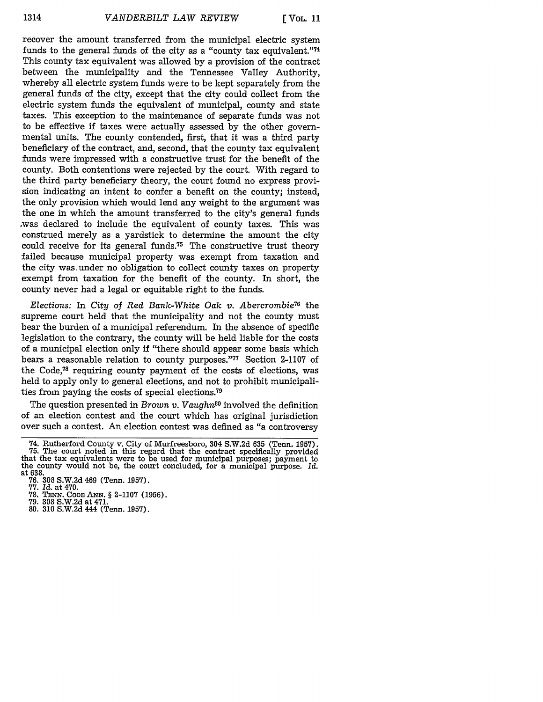recover the amount transferred from the municipal electric system funds to the general funds of the city as a "county tax equivalent."<sup>74</sup> This county tax equivalent was allowed by a provision of the contract between the municipality and the Tennessee Valley Authority, whereby all electric system funds were to be kept separately from the general funds of the city, except that the city could collect from the electric system funds the equivalent of municipal, county and state taxes. This exception to the maintenance of separate funds was not to be effective if taxes were actually assessed by the other governmental units. The county contended, first, that it was a third party beneficiary of the contract, and, second, that the county tax equivalent funds were impressed with a constructive trust for the benefit of the county. Both contentions were rejected by the court. With regard to the third party beneficiary theory, the court found no express provision indicating an intent to confer a benefit on the county; instead, the only provision which would lend any weight to the argument was the one in which the amount transferred to the city's general funds ,was declared to include the equivalent of county taxes. This was construed merely as a yardstick to determine the amount the city could receive for its general funds.<sup>75</sup> The constructive trust theory failed because municipal property was exempt from taxation and the city was.under no obligation to collect county taxes on property exempt from taxation for the benefit of the county. In short, the county never had a legal or equitable right to the funds.

*Elections:* In *City* of *Red Bank-White Oak v. Abercrombie76* the supreme court held that the municipality and not the county must bear the burden of a municipal referendum. In the absence of specific legislation to the contrary, the county will be held liable for the costs of a municipal election only if "there should appear some basis which bears a reasonable relation to county purposes." $77$  Section 2-1107 of the Code, $78$  requiring county payment of the costs of elections, was held to apply only to general elections, and not to prohibit municipalities from paying the costs of special elections.<sup>79</sup>

The question presented in *Brown v. Vaughn8°* involved the definition of an election contest and the court which has original jurisdiction over such a contest. An election contest was defined as "a controversy

- 
- 80. 310 S.W.2d 444 (Tenn. 1957).

<sup>74.</sup> Rutherford County v. City of Murfreesboro, 304 S.W.2d 635 (Tenn. 1957).<br>75. The court noted in this regard that the contract specifically provided<br>that the tax equivalents were to be used for municipal purposes; paymen the county would not be, the court concluded, for a municipal purpose. Id. at 638.

**<sup>76.</sup>** 308 S.W.2d 469 (Tenn. 1957). **77.** *Id.* at 470. **78. TENN. CODE ANN.** § **2-1107 (1956). 79. 308** S.W.2d at 471.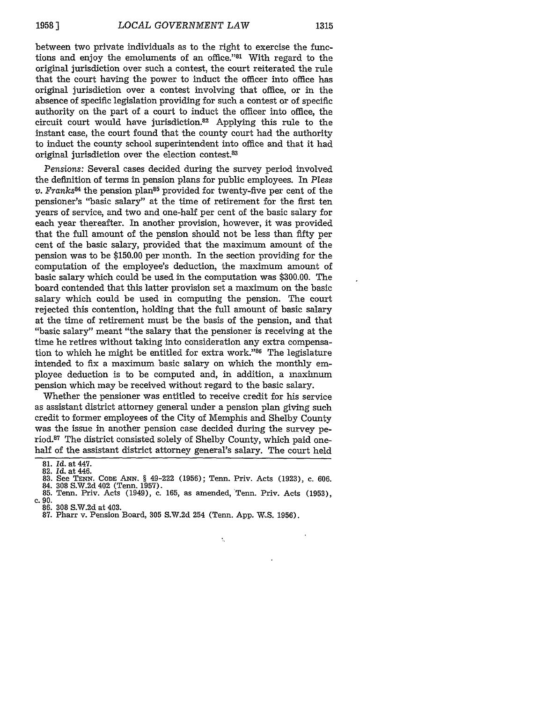between two private individuals as to the right to exercise the functions and enjoy the emoluments of an office."<sup>81</sup> With regard to the original jurisdiction over such a contest, the court reiterated the rule that the court having the power to induct the officer into office has original jurisdiction over a contest involving that office, or in the absence of specific legislation providing for such a contest or of specific authority on the part of a court to induct the officer into office, the circuit court would have jurisdiction.82 Applying this rule to the instant case, the court found that the county court had the authority to induct the county school superintendent into office and that it had original jurisdiction over the election contest.<sup>83</sup>

*Pensions:* Several cases decided during the survey period involved the definition of terms in pension plans for public employees. In *Pless v. Franks8A* the pension plan85 provided for twenty-five per cent of the pensioner's "basic salary" at the time of retirement for the first ten years of service, and two and one-half per cent of the basic salary for each year thereafter. In another provision, however, it was provided that the full amount of the pension should not be less than fifty per cent of the basic salary, provided that the maximum amount of the pension was to be \$150.00 per month. In the section providing for the computation of the employee's deduction, the maximum amount of basic salary which could be used in the computation was \$300.00. The board contended that this latter provision set a maximum on the basic salary which could be used in computing the pension. The court rejected this contention, holding that the full amount of basic salary at the time of retirement must be the basis of the pension, and that "basic salary" meant "the salary that the pensioner is receiving at the time he retires without taking into consideration any extra compensation to which he might be entitled for extra work."<sup>86</sup> The legislature intended to fix a maximum basic salary on which the monthly employee deduction is to be computed and, in addition, a maximum pension which may be received without regard to the basic salary.

Whether the pensioner was entitled to receive credit for his service as assistant district attorney general under a pension plan giving such credit to former employees of the City of Memphis and Shelby County was the issue in another pension case decided during the survey period.87 The district consisted solely of Shelby County, which paid onehalf of the assistant district attorney general's salary. The court held

83. See **TEN. CODE** ANN. § 49-222 (1956); Tenn. Priv. Acts (1923), c. 606.

k.

- 84. 308 S.W.2d 402 (Tenn. 1957).<br>85. Tenn. Priv. Acts (1949), c. 165, as amended, 'Tenn. Priv. Acts (1953) 85. Tenn. Priv. Acts (1949), c. 165, as amended, Tenn. Priv. Acts (1953), c. 90.
- 
- 86. 308 S.W.2d at 403.
- 87. Pharr v. Pension Board, 305 S.W.2d 254 (Tenn. App. W.S. 1956).

<sup>81.</sup> *Id.* at 447.

<sup>82.</sup> *Id.* at 446.